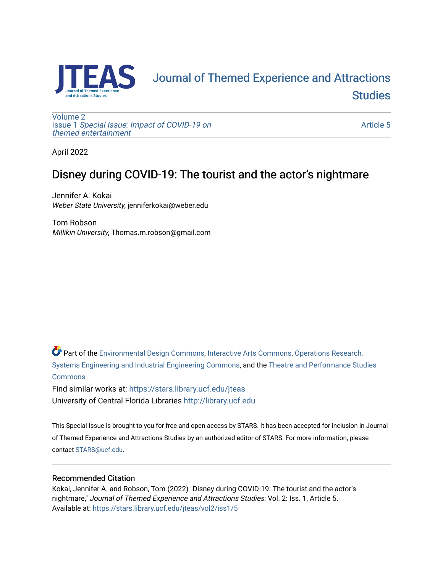

# [Journal of Themed Experience and Attractions](https://stars.library.ucf.edu/jteas)  **Studies**

[Volume 2](https://stars.library.ucf.edu/jteas/vol2) Issue 1 [Special Issue: Impact of COVID-19 on](https://stars.library.ucf.edu/jteas/vol2/iss1)  [themed entertainment](https://stars.library.ucf.edu/jteas/vol2/iss1) 

[Article 5](https://stars.library.ucf.edu/jteas/vol2/iss1/5) 

April 2022

### Disney during COVID-19: The tourist and the actor's nightmare

Jennifer A. Kokai Weber State University, jenniferkokai@weber.edu

Tom Robson Millikin University, Thomas.m.robson@gmail.com

Part of the [Environmental Design Commons,](http://network.bepress.com/hgg/discipline/777?utm_source=stars.library.ucf.edu%2Fjteas%2Fvol2%2Fiss1%2F5&utm_medium=PDF&utm_campaign=PDFCoverPages) [Interactive Arts Commons](http://network.bepress.com/hgg/discipline/1136?utm_source=stars.library.ucf.edu%2Fjteas%2Fvol2%2Fiss1%2F5&utm_medium=PDF&utm_campaign=PDFCoverPages), [Operations Research,](http://network.bepress.com/hgg/discipline/305?utm_source=stars.library.ucf.edu%2Fjteas%2Fvol2%2Fiss1%2F5&utm_medium=PDF&utm_campaign=PDFCoverPages)  [Systems Engineering and Industrial Engineering Commons](http://network.bepress.com/hgg/discipline/305?utm_source=stars.library.ucf.edu%2Fjteas%2Fvol2%2Fiss1%2F5&utm_medium=PDF&utm_campaign=PDFCoverPages), and the [Theatre and Performance Studies](http://network.bepress.com/hgg/discipline/552?utm_source=stars.library.ucf.edu%2Fjteas%2Fvol2%2Fiss1%2F5&utm_medium=PDF&utm_campaign=PDFCoverPages)  [Commons](http://network.bepress.com/hgg/discipline/552?utm_source=stars.library.ucf.edu%2Fjteas%2Fvol2%2Fiss1%2F5&utm_medium=PDF&utm_campaign=PDFCoverPages)

Find similar works at: <https://stars.library.ucf.edu/jteas> University of Central Florida Libraries [http://library.ucf.edu](http://library.ucf.edu/) 

This Special Issue is brought to you for free and open access by STARS. It has been accepted for inclusion in Journal of Themed Experience and Attractions Studies by an authorized editor of STARS. For more information, please contact [STARS@ucf.edu.](mailto:STARS@ucf.edu)

### Recommended Citation

Kokai, Jennifer A. and Robson, Tom (2022) "Disney during COVID-19: The tourist and the actor's nightmare," Journal of Themed Experience and Attractions Studies: Vol. 2: Iss. 1, Article 5. Available at: [https://stars.library.ucf.edu/jteas/vol2/iss1/5](https://stars.library.ucf.edu/jteas/vol2/iss1/5?utm_source=stars.library.ucf.edu%2Fjteas%2Fvol2%2Fiss1%2F5&utm_medium=PDF&utm_campaign=PDFCoverPages)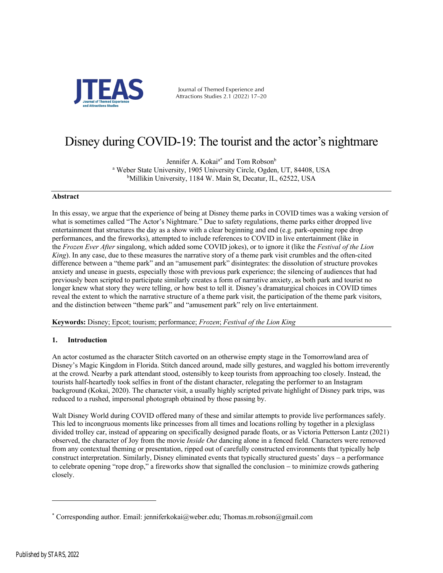

Journal of Themed Experience and Attractions Studies 2.1 (2022) 17–20

## Disney during COVID-19: The tourist and the actor's nightmare

Jennifer A. Kokai<sup>a\*</sup> and Tom Robson<sup>b</sup> <sup>a</sup> Weber State University, 1905 University Circle, Ogden, UT, 84408, USA b Millikin University, 1184 W. Main St, Decatur, IL, 62522, USA

#### **Abstract**

In this essay, we argue that the experience of being at Disney theme parks in COVID times was a waking version of what is sometimes called "The Actor's Nightmare." Due to safety regulations, theme parks either dropped live entertainment that structures the day as a show with a clear beginning and end (e.g. park-opening rope drop performances, and the fireworks), attempted to include references to COVID in live entertainment (like in the *Frozen Ever After* singalong, which added some COVID jokes), or to ignore it (like the *Festival of the Lion King*). In any case, due to these measures the narrative story of a theme park visit crumbles and the often-cited difference between a "theme park" and an "amusement park" disintegrates: the dissolution of structure provokes anxiety and unease in guests, especially those with previous park experience; the silencing of audiences that had previously been scripted to participate similarly creates a form of narrative anxiety, as both park and tourist no longer knew what story they were telling, or how best to tell it. Disney's dramaturgical choices in COVID times reveal the extent to which the narrative structure of a theme park visit, the participation of the theme park visitors, and the distinction between "theme park" and "amusement park" rely on live entertainment.

**Keywords:** Disney; Epcot; tourism; performance; *Frozen*; *Festival of the Lion King*

#### **1. Introduction**

An actor costumed as the character Stitch cavorted on an otherwise empty stage in the Tomorrowland area of Disney's Magic Kingdom in Florida. Stitch danced around, made silly gestures, and waggled his bottom irreverently at the crowd. Nearby a park attendant stood, ostensibly to keep tourists from approaching too closely. Instead, the tourists half-heartedly took selfies in front of the distant character, relegating the performer to an Instagram background (Kokai, 2020). The character visit, a usually highly scripted private highlight of Disney park trips, was reduced to a rushed, impersonal photograph obtained by those passing by.

Walt Disney World during COVID offered many of these and similar attempts to provide live performances safely. This led to incongruous moments like princesses from all times and locations rolling by together in a plexiglass divided trolley car, instead of appearing on specifically designed parade floats, or as Victoria Petterson Lantz (2021) observed, the character of Joy from the movie *Inside Out* dancing alone in a fenced field. Characters were removed from any contextual theming or presentation, ripped out of carefully constructed environments that typically help construct interpretation. Similarly, Disney eliminated events that typically structured guests' days - a performance to celebrate opening "rope drop," a fireworks show that signalled the conclusion - to minimize crowds gathering closely.

<sup>\*</sup> Corresponding author. Email: jenniferkokai@weber.edu; Thomas.m.robson@gmail.com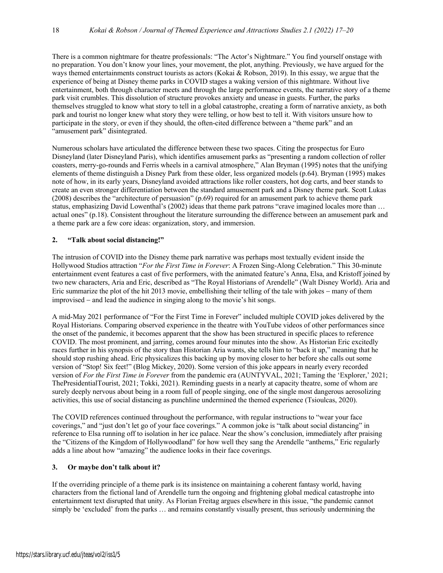There is a common nightmare for theatre professionals: "The Actor's Nightmare." You find yourself onstage with no preparation. You don't know your lines, your movement, the plot, anything. Previously, we have argued for the ways themed entertainments construct tourists as actors (Kokai & Robson, 2019). In this essay, we argue that the experience of being at Disney theme parks in COVID stages a waking version of this nightmare. Without live entertainment, both through character meets and through the large performance events, the narrative story of a theme park visit crumbles. This dissolution of structure provokes anxiety and unease in guests. Further, the parks themselves struggled to know what story to tell in a global catastrophe, creating a form of narrative anxiety, as both park and tourist no longer knew what story they were telling, or how best to tell it. With visitors unsure how to participate in the story, or even if they should, the often-cited difference between a "theme park" and an "amusement park" disintegrated.

Numerous scholars have articulated the difference between these two spaces. Citing the prospectus for Euro Disneyland (later Disneyland Paris), which identifies amusement parks as "presenting a random collection of roller coasters, merry-go-rounds and Ferris wheels in a carnival atmosphere," Alan Bryman (1995) notes that the unifying elements of theme distinguish a Disney Park from these older, less organized models (p.64). Bryman (1995) makes note of how, in its early years, Disneyland avoided attractions like roller coasters, hot dog carts, and beer stands to create an even stronger differentiation between the standard amusement park and a Disney theme park. Scott Lukas (2008) describes the "architecture of persuasion" (p.69) required for an amusement park to achieve theme park status, emphasizing David Lowenthal's (2002) ideas that theme park patrons "crave imagined locales more than … actual ones" (p.18). Consistent throughout the literature surrounding the difference between an amusement park and a theme park are a few core ideas: organization, story, and immersion.

#### **2. "Talk about social distancing!"**

The intrusion of COVID into the Disney theme park narrative was perhaps most textually evident inside the Hollywood Studios attraction "*For the First Time in Forever*: A Frozen Sing-Along Celebration." This 30-minute entertainment event features a cast of five performers, with the animated feature's Anna, Elsa, and Kristoff joined by two new characters, Aria and Eric, described as "The Royal Historians of Arendelle" (Walt Disney World). Aria and Eric summarize the plot of the hit 2013 movie, embellishing their telling of the tale with jokes – many of them improvised - and lead the audience in singing along to the movie's hit songs.

A mid-May 2021 performance of "For the First Time in Forever" included multiple COVID jokes delivered by the Royal Historians. Comparing observed experience in the theatre with YouTube videos of other performances since the onset of the pandemic, it becomes apparent that the show has been structured in specific places to reference COVID. The most prominent, and jarring, comes around four minutes into the show. As Historian Eric excitedly races further in his synopsis of the story than Historian Aria wants, she tells him to "back it up," meaning that he should stop rushing ahead. Eric physicalizes this backing up by moving closer to her before she calls out some version of "Stop! Six feet!" (Blog Mickey, 2020). Some version of this joke appears in nearly every recorded version of *For the First Time in Forever* from the pandemic era (AUNTYVAL, 2021; Taming the 'Explorer,' 2021; ThePresidentialTourist, 2021; Tokki, 2021). Reminding guests in a nearly at capacity theatre, some of whom are surely deeply nervous about being in a room full of people singing, one of the single most dangerous aerosolizing activities, this use of social distancing as punchline undermined the themed experience (Tsioulcas, 2020).

The COVID references continued throughout the performance, with regular instructions to "wear your face coverings," and "just don't let go of your face coverings." A common joke is "talk about social distancing" in reference to Elsa running off to isolation in her ice palace. Near the show's conclusion, immediately after praising the "Citizens of the Kingdom of Hollywoodland" for how well they sang the Arendelle "anthems," Eric regularly adds a line about how "amazing" the audience looks in their face coverings.

#### **3. Or maybe don't talk about it?**

If the overriding principle of a theme park is its insistence on maintaining a coherent fantasy world, having characters from the fictional land of Arendelle turn the ongoing and frightening global medical catastrophe into entertainment text disrupted that unity. As Florian Freitag argues elsewhere in this issue, "the pandemic cannot simply be 'excluded' from the parks ... and remains constantly visually present, thus seriously undermining the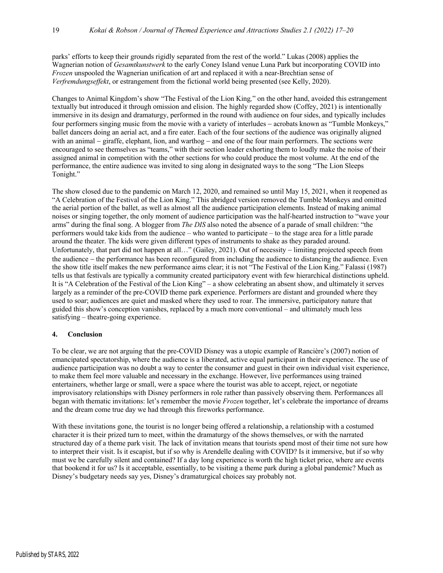parks' efforts to keep their grounds rigidly separated from the rest of the world." Lukas (2008) applies the Wagnerian notion of *Gesamtkunstwerk* to the early Coney Island venue Luna Park but incorporating COVID into *Frozen* unspooled the Wagnerian unification of art and replaced it with a near-Brechtian sense of *Verfremdungseffekt*, or estrangement from the fictional world being presented (see Kelly, 2020).

Changes to Animal Kingdom's show "The Festival of the Lion King*,*" on the other hand, avoided this estrangement textually but introduced it through omission and elision. The highly regarded show (Coffey, 2021) is intentionally immersive in its design and dramaturgy, performed in the round with audience on four sides, and typically includes four performers singing music from the movie with a variety of interludes – acrobats known as "Tumble Monkeys," ballet dancers doing an aerial act, and a fire eater. Each of the four sections of the audience was originally aligned with an animal – giraffe, elephant, lion, and warthog – and one of the four main performers. The sections were encouraged to see themselves as "teams," with their section leader exhorting them to loudly make the noise of their assigned animal in competition with the other sections for who could produce the most volume. At the end of the performance, the entire audience was invited to sing along in designated ways to the song "The Lion Sleeps Tonight."

The show closed due to the pandemic on March 12, 2020, and remained so until May 15, 2021, when it reopened as "A Celebration of the Festival of the Lion King." This abridged version removed the Tumble Monkeys and omitted the aerial portion of the ballet, as well as almost all the audience participation elements. Instead of making animal noises or singing together, the only moment of audience participation was the half-hearted instruction to "wave your arms" during the final song. A blogger from *The DIS* also noted the absence of a parade of small children: "the performers would take kids from the audience – who wanted to participate – to the stage area for a little parade around the theater. The kids were given different types of instruments to shake as they paraded around. Unfortunately, that part did not happen at all..." (Gailey, 2021). Out of necessity – limiting projected speech from the audience - the performance has been reconfigured from including the audience to distancing the audience. Even the show title itself makes the new performance aims clear; it is not "The Festival of the Lion King." Falassi (1987) tells us that festivals are typically a community created participatory event with few hierarchical distinctions upheld. It is "A Celebration of the Festival of the Lion King" – a show celebrating an absent show, and ultimately it serves largely as a reminder of the pre-COVID theme park experience. Performers are distant and grounded where they used to soar; audiences are quiet and masked where they used to roar. The immersive, participatory nature that guided this show's conception vanishes, replaced by a much more conventional – and ultimately much less satisfying – theatre-going experience.

#### **4. Conclusion**

To be clear, we are not arguing that the pre-COVID Disney was a utopic example of Rancière's (2007) notion of emancipated spectatorship, where the audience is a liberated, active equal participant in their experience. The use of audience participation was no doubt a way to center the consumer and guest in their own individual visit experience, to make them feel more valuable and necessary in the exchange. However, live performances using trained entertainers, whether large or small, were a space where the tourist was able to accept, reject, or negotiate improvisatory relationships with Disney performers in role rather than passively observing them. Performances all began with thematic invitations: let's remember the movie *Frozen* together, let's celebrate the importance of dreams and the dream come true day we had through this fireworks performance.

With these invitations gone, the tourist is no longer being offered a relationship, a relationship with a costumed character it is their prized turn to meet, within the dramaturgy of the shows themselves, or with the narrated structured day of a theme park visit. The lack of invitation means that tourists spend most of their time not sure how to interpret their visit. Is it escapist, but if so why is Arendelle dealing with COVID? Is it immersive, but if so why must we be carefully silent and contained? If a day long experience is worth the high ticket price, where are events that bookend it for us? Is it acceptable, essentially, to be visiting a theme park during a global pandemic? Much as Disney's budgetary needs say yes, Disney's dramaturgical choices say probably not.